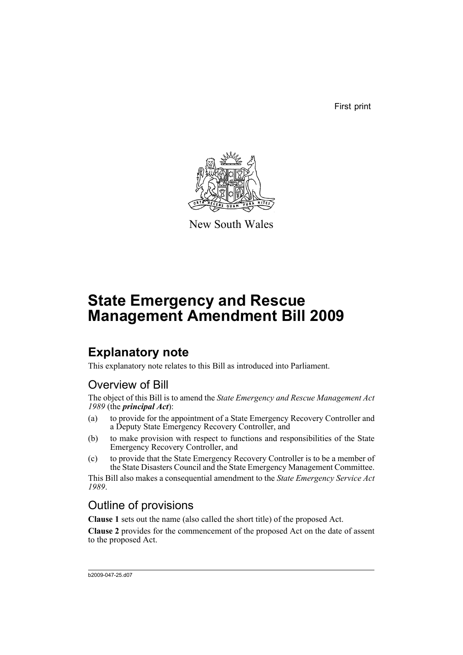First print



New South Wales

# **State Emergency and Rescue Management Amendment Bill 2009**

## **Explanatory note**

This explanatory note relates to this Bill as introduced into Parliament.

## Overview of Bill

The object of this Bill is to amend the *State Emergency and Rescue Management Act 1989* (the *principal Act*):

- (a) to provide for the appointment of a State Emergency Recovery Controller and a Deputy State Emergency Recovery Controller, and
- (b) to make provision with respect to functions and responsibilities of the State Emergency Recovery Controller, and
- (c) to provide that the State Emergency Recovery Controller is to be a member of the State Disasters Council and the State Emergency Management Committee.

This Bill also makes a consequential amendment to the *State Emergency Service Act 1989*.

## Outline of provisions

**Clause 1** sets out the name (also called the short title) of the proposed Act.

**Clause 2** provides for the commencement of the proposed Act on the date of assent to the proposed Act.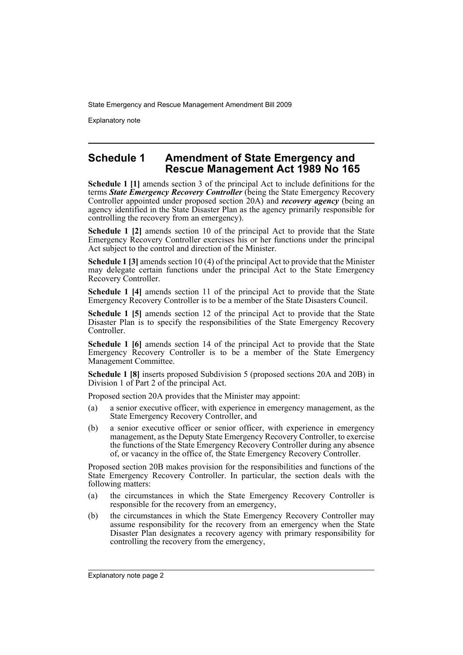Explanatory note

### **Schedule 1 Amendment of State Emergency and Rescue Management Act 1989 No 165**

**Schedule 1 [1]** amends section 3 of the principal Act to include definitions for the terms *State Emergency Recovery Controller* (being the State Emergency Recovery Controller appointed under proposed section 20A) and *recovery agency* (being an agency identified in the State Disaster Plan as the agency primarily responsible for controlling the recovery from an emergency).

**Schedule 1 [2]** amends section 10 of the principal Act to provide that the State Emergency Recovery Controller exercises his or her functions under the principal Act subject to the control and direction of the Minister.

**Schedule 1 [3]** amends section 10 (4) of the principal Act to provide that the Minister may delegate certain functions under the principal Act to the State Emergency Recovery Controller.

**Schedule 1 [4]** amends section 11 of the principal Act to provide that the State Emergency Recovery Controller is to be a member of the State Disasters Council.

**Schedule 1 [5]** amends section 12 of the principal Act to provide that the State Disaster Plan is to specify the responsibilities of the State Emergency Recovery Controller.

**Schedule 1 [6]** amends section 14 of the principal Act to provide that the State Emergency Recovery Controller is to be a member of the State Emergency Management Committee.

**Schedule 1 [8]** inserts proposed Subdivision 5 (proposed sections 20A and 20B) in Division 1 of Part 2 of the principal Act.

Proposed section 20A provides that the Minister may appoint:

- (a) a senior executive officer, with experience in emergency management, as the State Emergency Recovery Controller, and
- (b) a senior executive officer or senior officer, with experience in emergency management, as the Deputy State Emergency Recovery Controller, to exercise the functions of the State Emergency Recovery Controller during any absence of, or vacancy in the office of, the State Emergency Recovery Controller.

Proposed section 20B makes provision for the responsibilities and functions of the State Emergency Recovery Controller. In particular, the section deals with the following matters:

- (a) the circumstances in which the State Emergency Recovery Controller is responsible for the recovery from an emergency,
- (b) the circumstances in which the State Emergency Recovery Controller may assume responsibility for the recovery from an emergency when the State Disaster Plan designates a recovery agency with primary responsibility for controlling the recovery from the emergency,

Explanatory note page 2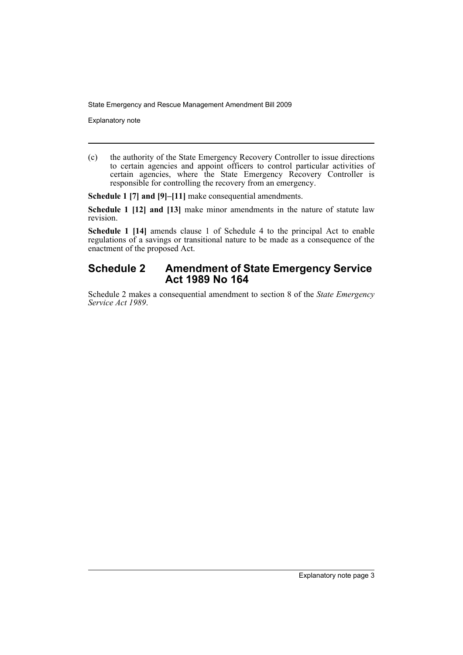Explanatory note

(c) the authority of the State Emergency Recovery Controller to issue directions to certain agencies and appoint officers to control particular activities of certain agencies, where the State Emergency Recovery Controller is responsible for controlling the recovery from an emergency.

**Schedule 1 [7] and [9]–[11]** make consequential amendments.

**Schedule 1 [12] and [13]** make minor amendments in the nature of statute law revision.

**Schedule 1 [14]** amends clause 1 of Schedule 4 to the principal Act to enable regulations of a savings or transitional nature to be made as a consequence of the enactment of the proposed Act.

### **Schedule 2 Amendment of State Emergency Service Act 1989 No 164**

Schedule 2 makes a consequential amendment to section 8 of the *State Emergency Service Act 1989*.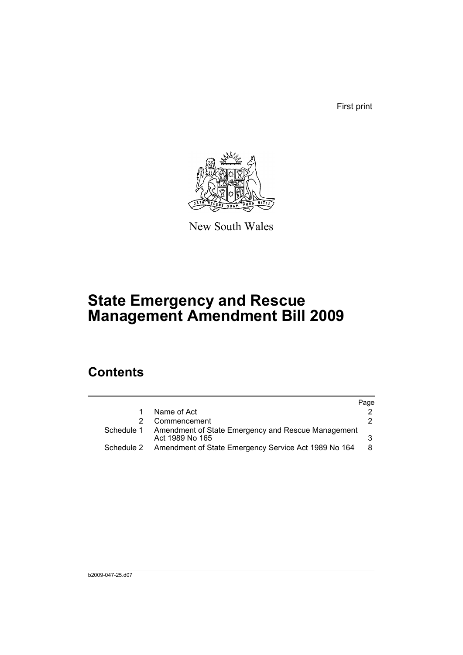First print



New South Wales

# **State Emergency and Rescue Management Amendment Bill 2009**

## **Contents**

|            |                                                                       | Page |
|------------|-----------------------------------------------------------------------|------|
|            | Name of Act                                                           |      |
|            | Commencement                                                          |      |
| Schedule 1 | Amendment of State Emergency and Rescue Management<br>Act 1989 No 165 |      |
|            | Schedule 2 Amendment of State Emergency Service Act 1989 No 164       | 8    |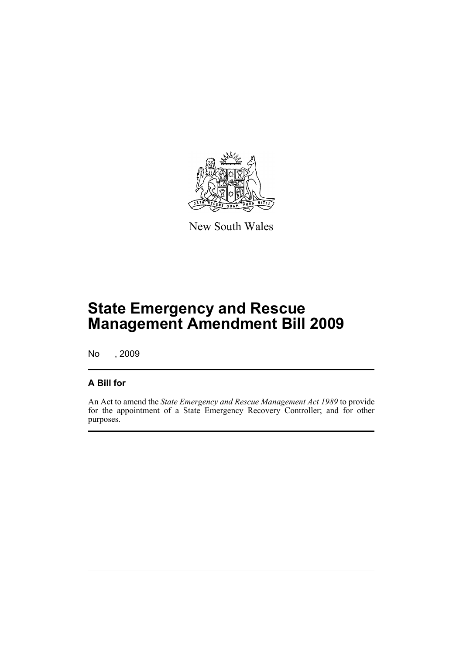

New South Wales

# **State Emergency and Rescue Management Amendment Bill 2009**

No , 2009

## **A Bill for**

An Act to amend the *State Emergency and Rescue Management Act 1989* to provide for the appointment of a State Emergency Recovery Controller; and for other purposes.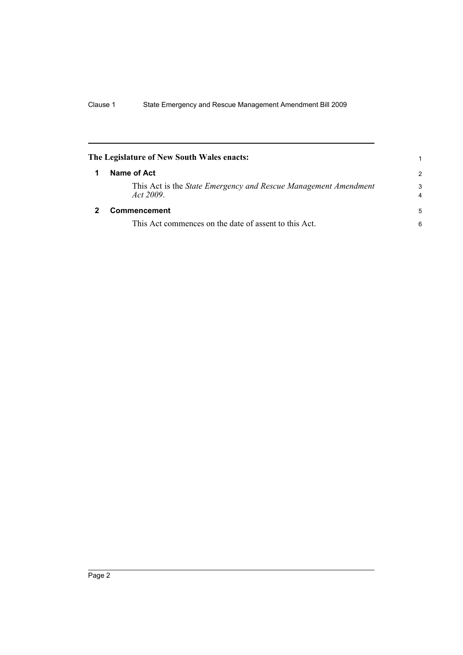<span id="page-7-1"></span><span id="page-7-0"></span>

| The Legislature of New South Wales enacts:                                  |               |
|-----------------------------------------------------------------------------|---------------|
| Name of Act                                                                 | $\mathcal{P}$ |
| This Act is the State Emergency and Rescue Management Amendment<br>Act 2009 | 3<br>4        |
| Commencement                                                                | 5             |
| This Act commences on the date of assent to this Act.                       | 6             |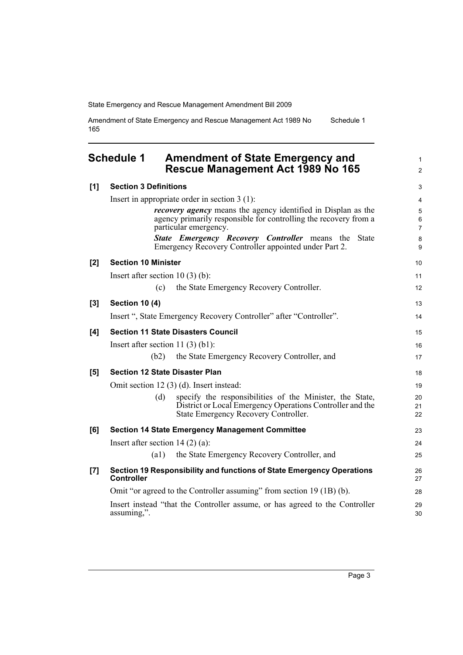Amendment of State Emergency and Rescue Management Act 1989 No 165 Schedule 1

<span id="page-8-0"></span>

|       | <b>Schedule 1</b><br><b>Amendment of State Emergency and</b><br>Rescue Management Act 1989 No 165                                                                    | 1<br>$\overline{c}$ |  |
|-------|----------------------------------------------------------------------------------------------------------------------------------------------------------------------|---------------------|--|
| [1]   | <b>Section 3 Definitions</b><br>Insert in appropriate order in section $3(1)$ :                                                                                      |                     |  |
|       |                                                                                                                                                                      |                     |  |
|       | <i>recovery agency</i> means the agency identified in Displan as the<br>agency primarily responsible for controlling the recovery from a<br>particular emergency.    | 5<br>6<br>7         |  |
|       | <b>State Emergency Recovery Controller means the State</b><br>Emergency Recovery Controller appointed under Part 2.                                                  | 8<br>9              |  |
| [2]   | <b>Section 10 Minister</b>                                                                                                                                           | 10                  |  |
|       | Insert after section $10(3)(b)$ :                                                                                                                                    | 11                  |  |
|       | the State Emergency Recovery Controller.<br>(c)                                                                                                                      | 12                  |  |
| [3]   | <b>Section 10 (4)</b>                                                                                                                                                | 13                  |  |
|       | Insert ", State Emergency Recovery Controller" after "Controller".                                                                                                   | 14                  |  |
| [4]   | <b>Section 11 State Disasters Council</b>                                                                                                                            | 15                  |  |
|       | Insert after section 11 $(3)$ $(b1)$ :                                                                                                                               | 16                  |  |
|       | (b2)<br>the State Emergency Recovery Controller, and                                                                                                                 | 17                  |  |
| [5]   | <b>Section 12 State Disaster Plan</b>                                                                                                                                |                     |  |
|       | Omit section 12 (3) (d). Insert instead:                                                                                                                             | 19                  |  |
|       | specify the responsibilities of the Minister, the State,<br>(d)<br>District or Local Emergency Operations Controller and the<br>State Emergency Recovery Controller. | 20<br>21<br>22      |  |
| [6]   | <b>Section 14 State Emergency Management Committee</b>                                                                                                               | 23                  |  |
|       | Insert after section 14 $(2)$ (a):                                                                                                                                   | 24                  |  |
|       | $\left( a1\right)$<br>the State Emergency Recovery Controller, and                                                                                                   | 25                  |  |
| $[7]$ | Section 19 Responsibility and functions of State Emergency Operations<br><b>Controller</b>                                                                           | 26<br>27            |  |
|       | Omit "or agreed to the Controller assuming" from section 19 (1B) (b).                                                                                                |                     |  |
|       | Insert instead "that the Controller assume, or has agreed to the Controller<br>assuming,".                                                                           | 29<br>30            |  |
|       |                                                                                                                                                                      |                     |  |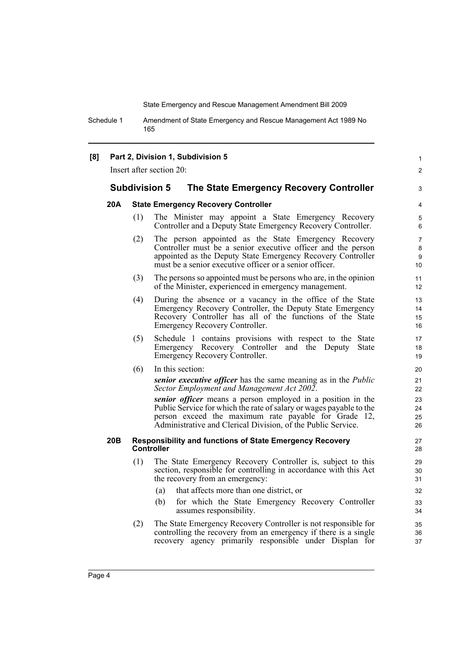Schedule 1 Amendment of State Emergency and Rescue Management Act 1989 No 165

### **[8] Part 2, Division 1, Subdivision 5**

Insert after section 20:

### **Subdivision 5 The State Emergency Recovery Controller**

#### **20A State Emergency Recovery Controller**

(1) The Minister may appoint a State Emergency Recovery Controller and a Deputy State Emergency Recovery Controller.

1  $\mathfrak{p}$ 

3

- (2) The person appointed as the State Emergency Recovery Controller must be a senior executive officer and the person appointed as the Deputy State Emergency Recovery Controller must be a senior executive officer or a senior officer.
- (3) The persons so appointed must be persons who are, in the opinion of the Minister, experienced in emergency management.
- (4) During the absence or a vacancy in the office of the State Emergency Recovery Controller, the Deputy State Emergency Recovery Controller has all of the functions of the State Emergency Recovery Controller.
- (5) Schedule 1 contains provisions with respect to the State Emergency Recovery Controller and the Deputy State Emergency Recovery Controller.
- (6) In this section:

*senior executive officer* has the same meaning as in the *Public Sector Employment and Management Act 2002*.

*senior officer* means a person employed in a position in the Public Service for which the rate of salary or wages payable to the person exceed the maximum rate payable for Grade 12, Administrative and Clerical Division, of the Public Service.

#### **20B Responsibility and functions of State Emergency Recovery Controller**

- (1) The State Emergency Recovery Controller is, subject to this section, responsible for controlling in accordance with this Act the recovery from an emergency:
	- (a) that affects more than one district, or
	- (b) for which the State Emergency Recovery Controller assumes responsibility.
- (2) The State Emergency Recovery Controller is not responsible for controlling the recovery from an emergency if there is a single recovery agency primarily responsible under Displan for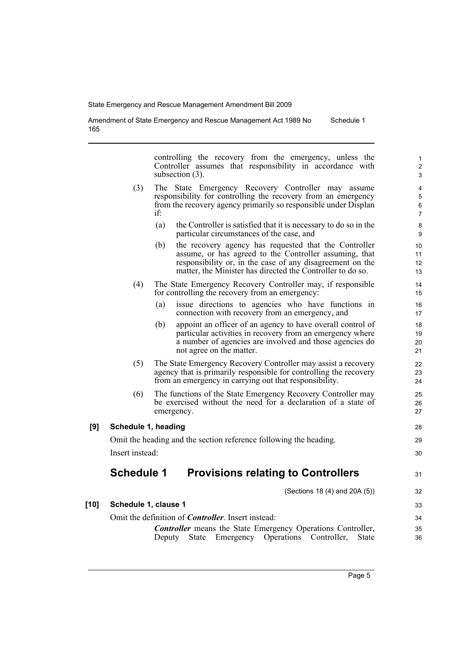Amendment of State Emergency and Rescue Management Act 1989 No 165 Schedule 1

> controlling the recovery from the emergency, unless the Controller assumes that responsibility in accordance with subsection  $(3)$ .

- (3) The State Emergency Recovery Controller may assume responsibility for controlling the recovery from an emergency from the recovery agency primarily so responsible under Displan if:
	- (a) the Controller is satisfied that it is necessary to do so in the particular circumstances of the case, and
	- (b) the recovery agency has requested that the Controller assume, or has agreed to the Controller assuming, that responsibility or, in the case of any disagreement on the matter, the Minister has directed the Controller to do so.
- (4) The State Emergency Recovery Controller may, if responsible for controlling the recovery from an emergency:
	- (a) issue directions to agencies who have functions in connection with recovery from an emergency, and
	- (b) appoint an officer of an agency to have overall control of particular activities in recovery from an emergency where a number of agencies are involved and those agencies do not agree on the matter.
- (5) The State Emergency Recovery Controller may assist a recovery agency that is primarily responsible for controlling the recovery from an emergency in carrying out that responsibility.
- (6) The functions of the State Emergency Recovery Controller may be exercised without the need for a declaration of a state of emergency.

#### **[9] Schedule 1, heading**

Omit the heading and the section reference following the heading. Insert instead:

### **Schedule 1 Provisions relating to Controllers**

(Sections 18 (4) and 20A (5))

**[10] Schedule 1, clause 1**

Omit the definition of *Controller*. Insert instead:

*Controller* means the State Emergency Operations Controller, Deputy State Emergency Operations Controller, State

28 29 30

31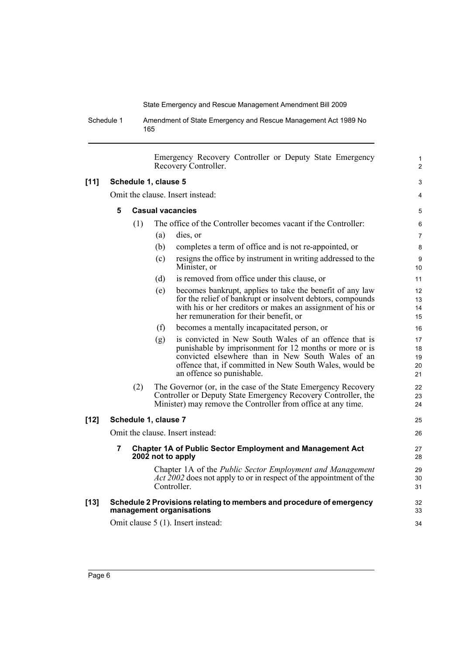Schedule 1 Amendment of State Emergency and Rescue Management Act 1989 No 165

|        |                                    |     |                      | Emergency Recovery Controller or Deputy State Emergency<br>Recovery Controller.                                                                                                                                                                              | $\mathbf{1}$<br>$\overline{2}$ |
|--------|------------------------------------|-----|----------------------|--------------------------------------------------------------------------------------------------------------------------------------------------------------------------------------------------------------------------------------------------------------|--------------------------------|
| $[11]$ | Schedule 1, clause 5               |     |                      | 3                                                                                                                                                                                                                                                            |                                |
|        | Omit the clause. Insert instead:   |     |                      | 4                                                                                                                                                                                                                                                            |                                |
|        | 5                                  |     |                      | <b>Casual vacancies</b>                                                                                                                                                                                                                                      | 5                              |
|        |                                    | (1) |                      | The office of the Controller becomes vacant if the Controller:                                                                                                                                                                                               | 6                              |
|        |                                    |     | (a)                  | dies, or                                                                                                                                                                                                                                                     | 7                              |
|        |                                    |     | (b)                  | completes a term of office and is not re-appointed, or                                                                                                                                                                                                       | 8                              |
|        |                                    |     |                      |                                                                                                                                                                                                                                                              |                                |
|        |                                    |     | (c)                  | resigns the office by instrument in writing addressed to the<br>Minister, or                                                                                                                                                                                 | 9<br>10                        |
|        |                                    |     | (d)                  | is removed from office under this clause, or                                                                                                                                                                                                                 | 11                             |
|        |                                    |     | (e)                  | becomes bankrupt, applies to take the benefit of any law<br>for the relief of bankrupt or insolvent debtors, compounds<br>with his or her creditors or makes an assignment of his or<br>her remuneration for their benefit, or                               | 12<br>13<br>14<br>15           |
|        |                                    |     | (f)                  | becomes a mentally incapacitated person, or                                                                                                                                                                                                                  | 16                             |
|        |                                    |     | (g)                  | is convicted in New South Wales of an offence that is<br>punishable by imprisonment for 12 months or more or is<br>convicted elsewhere than in New South Wales of an<br>offence that, if committed in New South Wales, would be<br>an offence so punishable. | 17<br>18<br>19<br>20<br>21     |
|        |                                    | (2) |                      | The Governor (or, in the case of the State Emergency Recovery<br>Controller or Deputy State Emergency Recovery Controller, the<br>Minister) may remove the Controller from office at any time.                                                               | 22<br>23<br>24                 |
| $[12]$ |                                    |     | Schedule 1, clause 7 |                                                                                                                                                                                                                                                              | 25                             |
|        |                                    |     |                      | Omit the clause. Insert instead:                                                                                                                                                                                                                             | 26                             |
|        | 7                                  |     |                      | <b>Chapter 1A of Public Sector Employment and Management Act</b><br>2002 not to apply                                                                                                                                                                        | 27<br>28                       |
|        |                                    |     |                      | Chapter 1A of the Public Sector Employment and Management<br><i>Act</i> 2002 does not apply to or in respect of the appointment of the<br>Controller.                                                                                                        | 29<br>30<br>31                 |
| $[13]$ |                                    |     |                      | Schedule 2 Provisions relating to members and procedure of emergency<br>management organisations                                                                                                                                                             | 32<br>33                       |
|        | Omit clause 5 (1). Insert instead: |     | 34                   |                                                                                                                                                                                                                                                              |                                |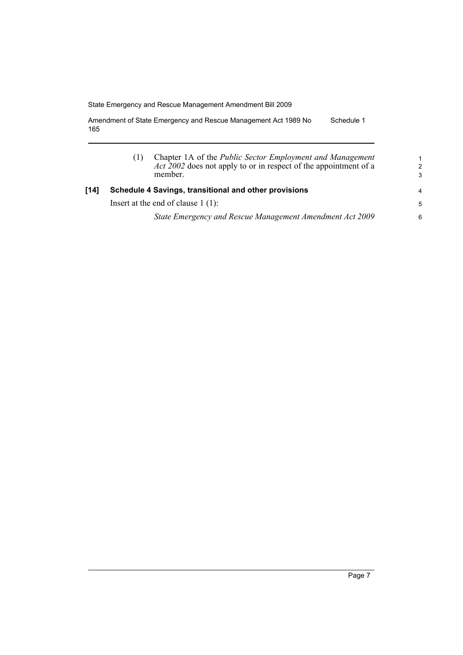Amendment of State Emergency and Rescue Management Act 1989 No 165 Schedule 1

|      | Chapter 1A of the Public Sector Employment and Management<br>Act 2002 does not apply to or in respect of the appointment of a<br>member. | 1<br>$\mathcal{P}$<br>3 |
|------|------------------------------------------------------------------------------------------------------------------------------------------|-------------------------|
| [14] | Schedule 4 Savings, transitional and other provisions                                                                                    |                         |
|      | Insert at the end of clause $1(1)$ :                                                                                                     | 5                       |
|      | State Emergency and Rescue Management Amendment Act 2009                                                                                 | 6                       |